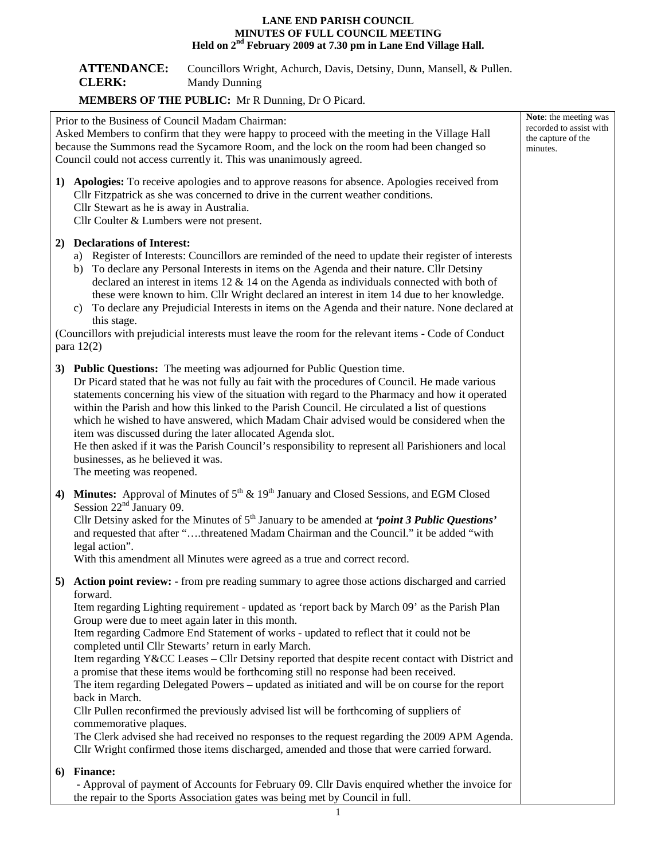## **LANE END PARISH COUNCIL MINUTES OF FULL COUNCIL MEETING Held on 2nd February 2009 at 7.30 pm in Lane End Village Hall.**

| <b>ATTENDANCE:</b> | Councillors Wright, Achurch, Davis, Detsiny, Dunn, Mansell, & Pullen. |
|--------------------|-----------------------------------------------------------------------|
| <b>CLERK:</b>      | Mandy Dunning                                                         |

## **MEMBERS OF THE PUBLIC:** Mr R Dunning, Dr O Picard.

| Prior to the Business of Council Madam Chairman:<br>Asked Members to confirm that they were happy to proceed with the meeting in the Village Hall<br>because the Summons read the Sycamore Room, and the lock on the room had been changed so<br>Council could not access currently it. This was unanimously agreed. |                                                                                                                                                                                                                                                                                                                                                                                                                                                                                                                                                                                                                                                                                                                                                                                                                                                                                                                                                                                                                                                             | Note: the meeting was<br>recorded to assist with<br>the capture of the<br>minutes. |
|----------------------------------------------------------------------------------------------------------------------------------------------------------------------------------------------------------------------------------------------------------------------------------------------------------------------|-------------------------------------------------------------------------------------------------------------------------------------------------------------------------------------------------------------------------------------------------------------------------------------------------------------------------------------------------------------------------------------------------------------------------------------------------------------------------------------------------------------------------------------------------------------------------------------------------------------------------------------------------------------------------------------------------------------------------------------------------------------------------------------------------------------------------------------------------------------------------------------------------------------------------------------------------------------------------------------------------------------------------------------------------------------|------------------------------------------------------------------------------------|
|                                                                                                                                                                                                                                                                                                                      | 1) Apologies: To receive apologies and to approve reasons for absence. Apologies received from<br>Cllr Fitzpatrick as she was concerned to drive in the current weather conditions.<br>Cllr Stewart as he is away in Australia.<br>Cllr Coulter & Lumbers were not present.                                                                                                                                                                                                                                                                                                                                                                                                                                                                                                                                                                                                                                                                                                                                                                                 |                                                                                    |
|                                                                                                                                                                                                                                                                                                                      | 2) Declarations of Interest:<br>a) Register of Interests: Councillors are reminded of the need to update their register of interests<br>b) To declare any Personal Interests in items on the Agenda and their nature. Cllr Detsiny<br>declared an interest in items $12 \& 14$ on the Agenda as individuals connected with both of<br>these were known to him. Cllr Wright declared an interest in item 14 due to her knowledge.<br>c) To declare any Prejudicial Interests in items on the Agenda and their nature. None declared at<br>this stage.<br>(Councillors with prejudicial interests must leave the room for the relevant items - Code of Conduct<br>para $12(2)$                                                                                                                                                                                                                                                                                                                                                                                |                                                                                    |
|                                                                                                                                                                                                                                                                                                                      | 3) Public Questions: The meeting was adjourned for Public Question time.<br>Dr Picard stated that he was not fully au fait with the procedures of Council. He made various<br>statements concerning his view of the situation with regard to the Pharmacy and how it operated<br>within the Parish and how this linked to the Parish Council. He circulated a list of questions<br>which he wished to have answered, which Madam Chair advised would be considered when the<br>item was discussed during the later allocated Agenda slot.<br>He then asked if it was the Parish Council's responsibility to represent all Parishioners and local<br>businesses, as he believed it was.<br>The meeting was reopened.                                                                                                                                                                                                                                                                                                                                         |                                                                                    |
| 4)                                                                                                                                                                                                                                                                                                                   | <b>Minutes:</b> Approval of Minutes of $5^{th}$ & $19^{th}$ January and Closed Sessions, and EGM Closed<br>Session $22nd$ January 09.<br>Cllr Detsiny asked for the Minutes of $5th$ January to be amended at 'point 3 Public Questions'<br>and requested that after "threatened Madam Chairman and the Council." it be added "with<br>legal action".<br>With this amendment all Minutes were agreed as a true and correct record.                                                                                                                                                                                                                                                                                                                                                                                                                                                                                                                                                                                                                          |                                                                                    |
|                                                                                                                                                                                                                                                                                                                      | 5) Action point review: - from pre reading summary to agree those actions discharged and carried<br>forward.<br>Item regarding Lighting requirement - updated as 'report back by March 09' as the Parish Plan<br>Group were due to meet again later in this month.<br>Item regarding Cadmore End Statement of works - updated to reflect that it could not be<br>completed until Cllr Stewarts' return in early March.<br>Item regarding Y&CC Leases – Cllr Detsiny reported that despite recent contact with District and<br>a promise that these items would be forthcoming still no response had been received.<br>The item regarding Delegated Powers – updated as initiated and will be on course for the report<br>back in March.<br>Cllr Pullen reconfirmed the previously advised list will be forthcoming of suppliers of<br>commemorative plaques.<br>The Clerk advised she had received no responses to the request regarding the 2009 APM Agenda.<br>Cllr Wright confirmed those items discharged, amended and those that were carried forward. |                                                                                    |
| 6)                                                                                                                                                                                                                                                                                                                   | <b>Finance:</b><br>- Approval of payment of Accounts for February 09. Cllr Davis enquired whether the invoice for<br>the repair to the Sports Association gates was being met by Council in full.                                                                                                                                                                                                                                                                                                                                                                                                                                                                                                                                                                                                                                                                                                                                                                                                                                                           |                                                                                    |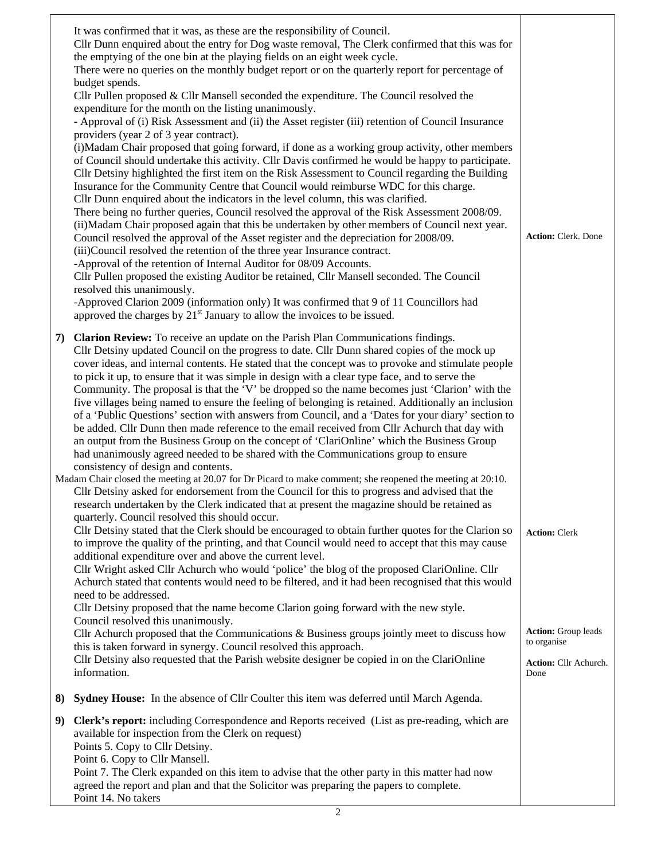|    | It was confirmed that it was, as these are the responsibility of Council.<br>Cllr Dunn enquired about the entry for Dog waste removal, The Clerk confirmed that this was for<br>the emptying of the one bin at the playing fields on an eight week cycle.<br>There were no queries on the monthly budget report or on the quarterly report for percentage of<br>budget spends.<br>Cllr Pullen proposed & Cllr Mansell seconded the expenditure. The Council resolved the<br>expenditure for the month on the listing unanimously.<br>- Approval of (i) Risk Assessment and (ii) the Asset register (iii) retention of Council Insurance<br>providers (year 2 of 3 year contract).<br>(i) Madam Chair proposed that going forward, if done as a working group activity, other members<br>of Council should undertake this activity. Cllr Davis confirmed he would be happy to participate.<br>Cllr Detsiny highlighted the first item on the Risk Assessment to Council regarding the Building<br>Insurance for the Community Centre that Council would reimburse WDC for this charge.<br>Cllr Dunn enquired about the indicators in the level column, this was clarified.<br>There being no further queries, Council resolved the approval of the Risk Assessment 2008/09.<br>(ii) Madam Chair proposed again that this be undertaken by other members of Council next year.<br>Council resolved the approval of the Asset register and the depreciation for 2008/09.<br>(iii)Council resolved the retention of the three year Insurance contract.<br>-Approval of the retention of Internal Auditor for 08/09 Accounts.<br>Cllr Pullen proposed the existing Auditor be retained, Cllr Mansell seconded. The Council<br>resolved this unanimously.<br>-Approved Clarion 2009 (information only) It was confirmed that 9 of 11 Councillors had<br>approved the charges by $21st$ January to allow the invoices to be issued. | <b>Action: Clerk. Done</b>                                                                 |
|----|------------------------------------------------------------------------------------------------------------------------------------------------------------------------------------------------------------------------------------------------------------------------------------------------------------------------------------------------------------------------------------------------------------------------------------------------------------------------------------------------------------------------------------------------------------------------------------------------------------------------------------------------------------------------------------------------------------------------------------------------------------------------------------------------------------------------------------------------------------------------------------------------------------------------------------------------------------------------------------------------------------------------------------------------------------------------------------------------------------------------------------------------------------------------------------------------------------------------------------------------------------------------------------------------------------------------------------------------------------------------------------------------------------------------------------------------------------------------------------------------------------------------------------------------------------------------------------------------------------------------------------------------------------------------------------------------------------------------------------------------------------------------------------------------------------------------------------------------------------------------------------------------------------------------------|--------------------------------------------------------------------------------------------|
| 7) | <b>Clarion Review:</b> To receive an update on the Parish Plan Communications findings.<br>Cllr Detsiny updated Council on the progress to date. Cllr Dunn shared copies of the mock up<br>cover ideas, and internal contents. He stated that the concept was to provoke and stimulate people<br>to pick it up, to ensure that it was simple in design with a clear type face, and to serve the<br>Community. The proposal is that the 'V' be dropped so the name becomes just 'Clarion' with the<br>five villages being named to ensure the feeling of belonging is retained. Additionally an inclusion<br>of a 'Public Questions' section with answers from Council, and a 'Dates for your diary' section to<br>be added. Cllr Dunn then made reference to the email received from Cllr Achurch that day with<br>an output from the Business Group on the concept of 'ClariOnline' which the Business Group<br>had unanimously agreed needed to be shared with the Communications group to ensure<br>consistency of design and contents.                                                                                                                                                                                                                                                                                                                                                                                                                                                                                                                                                                                                                                                                                                                                                                                                                                                                                   |                                                                                            |
|    | Madam Chair closed the meeting at 20.07 for Dr Picard to make comment; she reopened the meeting at 20:10.<br>Cllr Detsiny asked for endorsement from the Council for this to progress and advised that the<br>research undertaken by the Clerk indicated that at present the magazine should be retained as<br>quarterly. Council resolved this should occur.<br>Cllr Detsiny stated that the Clerk should be encouraged to obtain further quotes for the Clarion so<br>to improve the quality of the printing, and that Council would need to accept that this may cause<br>additional expenditure over and above the current level.<br>Cllr Wright asked Cllr Achurch who would 'police' the blog of the proposed ClariOnline. Cllr<br>Achurch stated that contents would need to be filtered, and it had been recognised that this would<br>need to be addressed.<br>Cllr Detsiny proposed that the name become Clarion going forward with the new style.<br>Council resolved this unanimously.<br>Cllr Achurch proposed that the Communications & Business groups jointly meet to discuss how<br>this is taken forward in synergy. Council resolved this approach.<br>Cllr Detsiny also requested that the Parish website designer be copied in on the ClariOnline                                                                                                                                                                                                                                                                                                                                                                                                                                                                                                                                                                                                                                                       | <b>Action: Clerk</b><br><b>Action:</b> Group leads<br>to organise<br>Action: Cllr Achurch. |
|    | information.                                                                                                                                                                                                                                                                                                                                                                                                                                                                                                                                                                                                                                                                                                                                                                                                                                                                                                                                                                                                                                                                                                                                                                                                                                                                                                                                                                                                                                                                                                                                                                                                                                                                                                                                                                                                                                                                                                                 | Done                                                                                       |
| 8) | Sydney House: In the absence of Cllr Coulter this item was deferred until March Agenda.                                                                                                                                                                                                                                                                                                                                                                                                                                                                                                                                                                                                                                                                                                                                                                                                                                                                                                                                                                                                                                                                                                                                                                                                                                                                                                                                                                                                                                                                                                                                                                                                                                                                                                                                                                                                                                      |                                                                                            |
| 9) | Clerk's report: including Correspondence and Reports received (List as pre-reading, which are<br>available for inspection from the Clerk on request)<br>Points 5. Copy to Cllr Detsiny.<br>Point 6. Copy to Cllr Mansell.<br>Point 7. The Clerk expanded on this item to advise that the other party in this matter had now<br>agreed the report and plan and that the Solicitor was preparing the papers to complete.<br>Point 14. No takers                                                                                                                                                                                                                                                                                                                                                                                                                                                                                                                                                                                                                                                                                                                                                                                                                                                                                                                                                                                                                                                                                                                                                                                                                                                                                                                                                                                                                                                                                |                                                                                            |